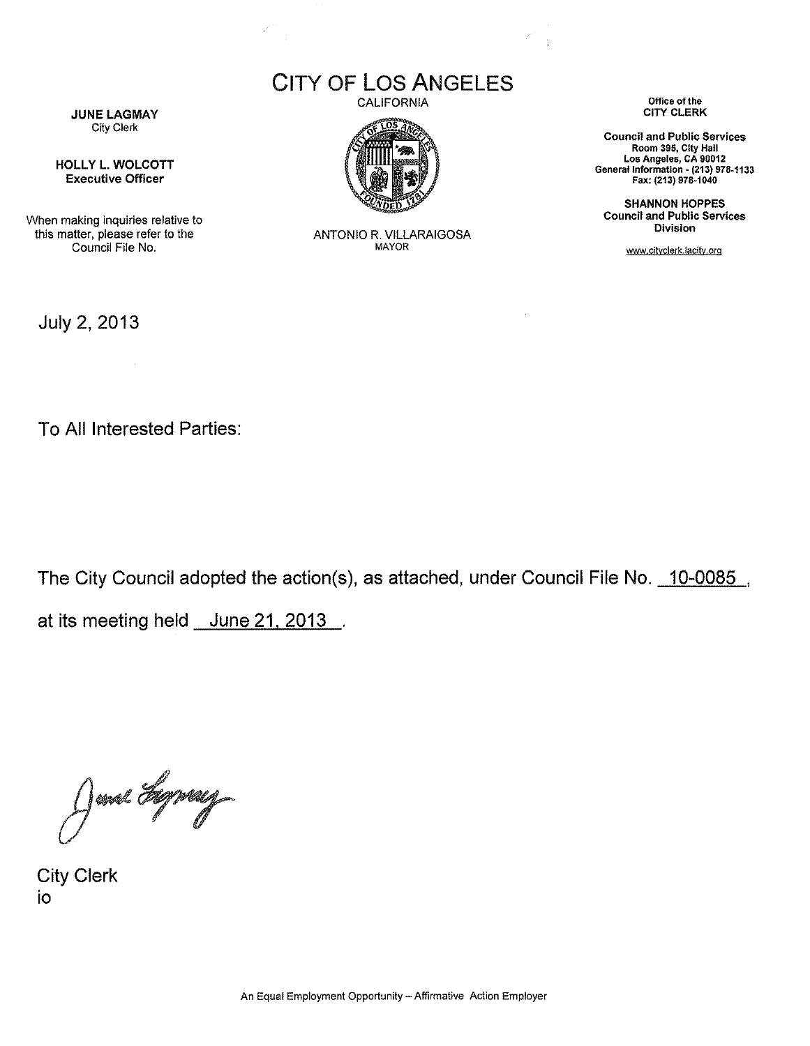CITY OF LOS ANGELES

 $\frac{1}{2}$ 

CALIFORNIA



ANTONIO R. VILLARAIGOSA MAYOR

**Office of the**  CITY CLERK

 $\bar{z}$ 

**Council and Public Services Room 395, City Hall Los Angeles, CA 90012 General Information· (213) 978-1133**  Fax: (213) 978·1040

SHANNON HOPPES **Council and Public Services Division** 

www.cityclerk.lacitv.org

**JUNE LAGMAY City Clerk** 

HOLLY L. WOLCOTT Executive Officer

When making inquiries relative to this matter, please refer to the Council File No.

July 2, 2013

To All Interested Parties:

 $\sim$   $\sim$ 

The City Council adopted the action(s), as attached, under Council File No. 10-0085 ,

at its meeting held June 21. 2013

June Hypey

City Clerk io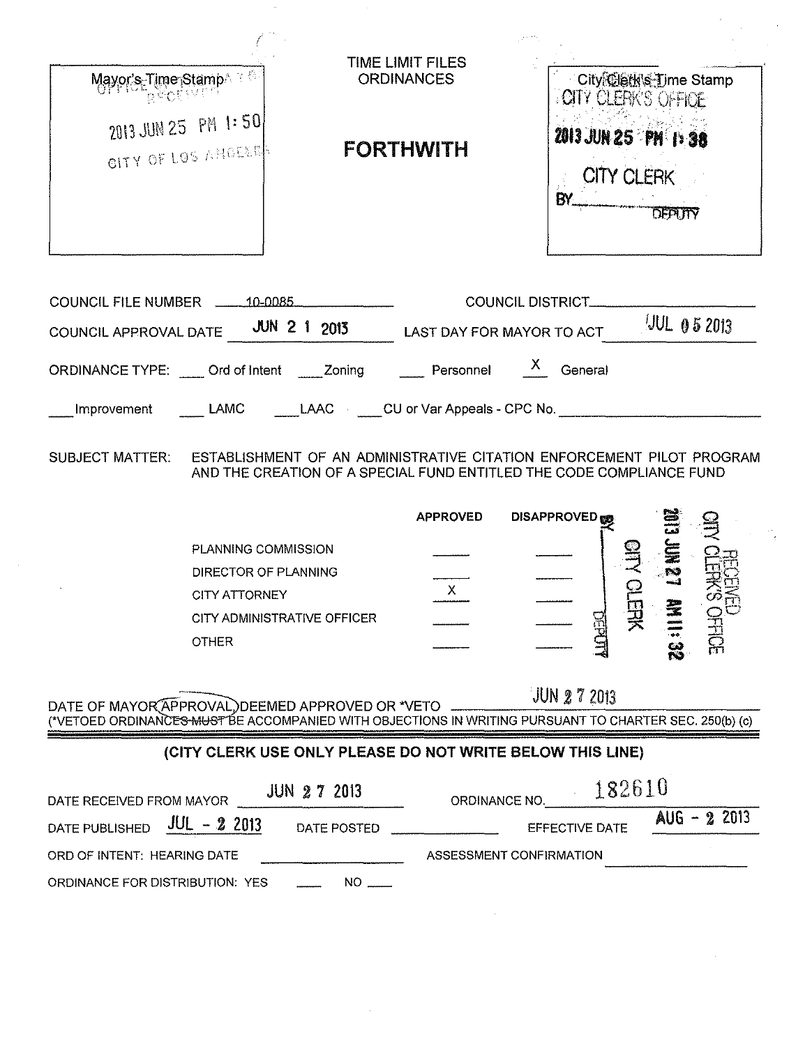| Mayor's Time Stamp                                                                                              |                                                                                                                                                            | TIME LIMIT FILES<br><b>ORDINANCES</b>  |                                                                                     | City@etk's Time Stamp                         |
|-----------------------------------------------------------------------------------------------------------------|------------------------------------------------------------------------------------------------------------------------------------------------------------|----------------------------------------|-------------------------------------------------------------------------------------|-----------------------------------------------|
| 2013 JUN 25 PM 1:50<br>CITY OF LOS ANDERS                                                                       |                                                                                                                                                            | <b>FORTHWITH</b>                       | <b>COTY CLERK'S OFFICE</b><br><b>2013 JUN 25 PM 1:38</b><br><b>CITY CLERK</b><br>BY | <b>DEPLITY</b>                                |
| COUNCIL FILE NUMBER 10-0085<br>COUNCIL APPROVAL DATE JUN 2 1 2013<br>ORDINANCE TYPE: Ord of Intent _____ Zoning |                                                                                                                                                            | LAST DAY FOR MAYOR TO ACT<br>Personnel | <b>COUNCIL DISTRICT_</b><br>$\mathbf{X}$<br>General                                 | $10L$ 0 5 2013                                |
| Improvement                                                                                                     | LAMC LAAC CU or Var Appeals - CPC No.                                                                                                                      |                                        |                                                                                     |                                               |
| <b>SUBJECT MATTER:</b>                                                                                          | ESTABLISHMENT OF AN ADMINISTRATIVE CITATION ENFORCEMENT PILOT PROGRAM<br>AND THE CREATION OF A SPECIAL FUND ENTITLED THE CODE COMPLIANCE FUND              | <b>APPROVED</b>                        | <b>DISAPPROVED</b>                                                                  |                                               |
| <b>OTHER</b>                                                                                                    | PLANNING COMMISSION<br>DIRECTOR OF PLANNING<br>CITY ATTORNEY<br>CITY ADMINISTRATIVE OFFICER                                                                | X.                                     | 男<br>DEPD                                                                           | <b>ESMI</b><br><b>VED</b><br>SOFFICE<br>Mils2 |
|                                                                                                                 |                                                                                                                                                            |                                        |                                                                                     |                                               |
|                                                                                                                 | DATE OF MAYOR APPROVAL, DEEMED APPROVED OR *VETO<br>(*VETOED ORDINANCES MUST BE ACCOMPANIED WITH OBJECTIONS IN WRITING PURSUANT TO CHARTER SEC. 250(b) (c) |                                        | JUN 2 7 2013                                                                        |                                               |
|                                                                                                                 | (CITY CLERK USE ONLY PLEASE DO NOT WRITE BELOW THIS LINE)                                                                                                  |                                        |                                                                                     |                                               |
|                                                                                                                 | <b>JUN 27 2013</b>                                                                                                                                         | ORDINANCE NO.                          | 182610                                                                              |                                               |
| DATE RECEIVED FROM MAYOR<br>$JUL - 2 2013$<br>DATE PUBLISHED<br>ORD OF INTENT: HEARING DATE                     | DATE POSTED                                                                                                                                                | ASSESSMENT CONFIRMATION                | EFFECTIVE DATE                                                                      | $AUS - 22013$                                 |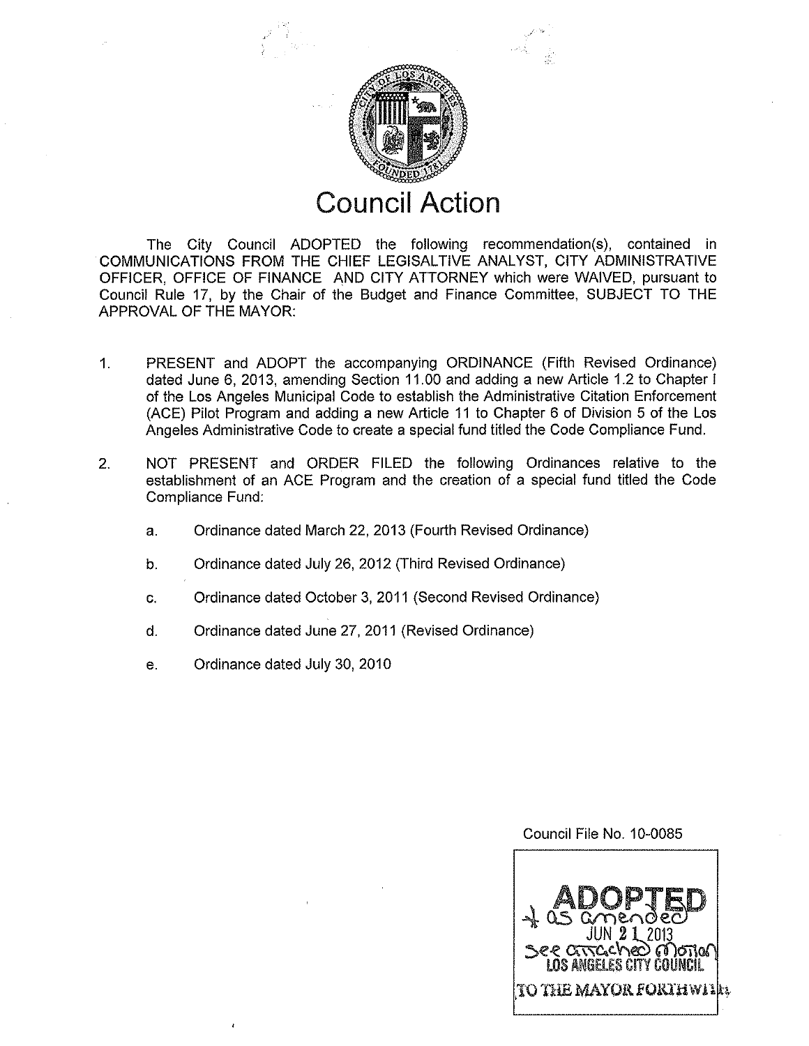

## **Council Action**

The City Council ADOPTED the following recommendation(s), contained in COMMUNICATIONS FROM THE CHIEF LEGISALTIVE ANALYST, CITY ADMINISTRATIVE OFFICER, OFFICE OF FINANCE AND CITY ATTORNEY which were WAIVED, pursuant to Council Rule 17, by the Chair of the Budget and Finance Committee, SUBJECT TO THE APPROVAL OF THE MAYOR:

- 1. PRESENT and ADOPT the accompanying ORDINANCE (Fifth Revised Ordinance) dated June 6, 2013, amending Section 11.00 and adding a new Article 1.2 to Chapter I of the Los Angeles Municipal Code to establish the Administrative Citation Enforcement (ACE) Pilot Program and adding a new Article 11 to Chapter 6 of Division 5 of the Los Angeles Administrative Code to create a special fund titled the Code Compliance Fund.
- 2. NOT PRESENT and ORDER FILED the following Ordinances relative to the establishment of an ACE Program and the creation of a special fund titled the Code Compliance Fund:
	- a. Ordinance dated March 22, 2013 (Fourth Revised Ordinance)
	- b. Ordinance dated July 26, 2012 (Third Revised Ordinance)
	- c. Ordinance dated October 3, 2011 (Second Revised Ordinance)
	- d. Ordinance dated June 27, 2011 (Revised Ordinance)
	- e. Ordinance dated July 30, 2010

## Council File No. 10-0085